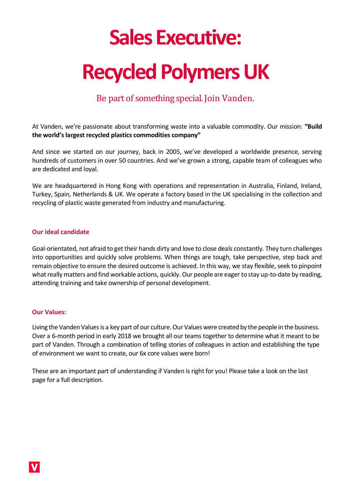# **Sales Executive:**

# **Recycled Polymers UK**

# Be part of something special. Join Vanden.

At Vanden, we're passionate about transforming waste into a valuable commodity. Our mission: **"Build the world's largest recycled plastics commodities company"**

And since we started on our journey, back in 2005, we've developed a worldwide presence, serving hundreds of customers in over 50 countries. And we've grown a strong, capable team of colleagues who are dedicated and loyal.

We are headquartered in Hong Kong with operations and representation in Australia, Finland, Ireland, Turkey, Spain, Netherlands & UK. We operate a factory based in the UK specialising in the collection and recycling of plastic waste generated from industry and manufacturing.

#### **Our ideal candidate**

Goal-orientated, not afraid to get their hands dirty and love to close deals constantly. They turn challenges into opportunities and quickly solve problems. When things are tough, take perspective, step back and remain objective to ensure the desired outcome is achieved. In this way, we stay flexible, seek to pinpoint what really matters and find workable actions, quickly. Our people are eager to stay up-to-date by reading, attending training and take ownership of personal development.

#### **Our Values:**

Living the Vanden Values is a key part of our culture. Our Values were created by the people in the business. Over a 6-month period in early 2018 we brought all our teams together to determine what it meant to be part of Vanden. Through a combination of telling stories of colleagues in action and establishing the type of environment we want to create, our 6x core values were born!

These are an important part of understanding if Vanden is right for you! Please take a look on the last page for a full description.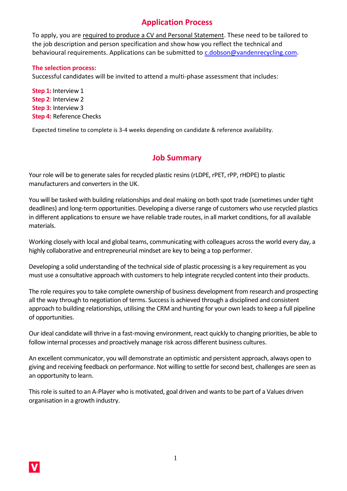## **Application Process**

To apply, you are required to produce a CV and Personal Statement. These need to be tailored to the job description and person specification and show how you reflect the technical and behavioural requirements. Applications can be submitted to [c.dobson@vandenrecycling.com.](mailto:c.dobson@vandenrecycling.com)

#### **The selection process:**

Successful candidates will be invited to attend a multi-phase assessment that includes:

**Step 1:** Interview 1 **Step 2**: Interview 2 **Step 3:** Interview 3 **Step 4:** Reference Checks

Expected timeline to complete is 3-4 weeks depending on candidate & reference availability.

## **Job Summary**

Your role will be to generate sales for recycled plastic resins (rLDPE, rPET, rPP, rHDPE) to plastic manufacturers and converters in the UK.

You will be tasked with building relationships and deal making on both spot trade (sometimes under tight deadlines) and long-term opportunities. Developing a diverse range of customers who use recycled plastics in different applications to ensure we have reliable trade routes, in all market conditions, for all available materials.

Working closely with local and global teams, communicating with colleagues across the world every day, a highly collaborative and entrepreneurial mindset are key to being a top performer.

Developing a solid understanding of the technical side of plastic processing is a key requirement as you must use a consultative approach with customers to help integrate recycled content into their products.

The role requires you to take complete ownership of business development from research and prospecting all the way through to negotiation of terms. Success is achieved through a disciplined and consistent approach to building relationships, utilising the CRM and hunting for your own leads to keep a full pipeline of opportunities.

Our ideal candidate will thrive in a fast-moving environment, react quickly to changing priorities, be able to follow internal processes and proactively manage risk across different business cultures.

An excellent communicator, you will demonstrate an optimistic and persistent approach, always open to giving and receiving feedback on performance. Not willing to settle for second best, challenges are seen as an opportunity to learn.

This role is suited to an A-Player who is motivated, goal driven and wants to be part of a Values driven organisation in a growth industry.

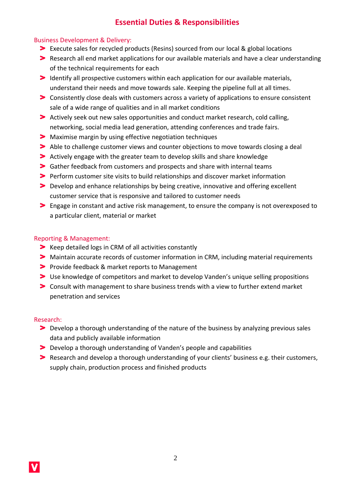## **Essential Duties & Responsibilities**

#### Business Development & Delivery:

- Execute sales for recycled products (Resins) sourced from our local & global locations
- Research all end market applications for our available materials and have a clear understanding of the technical requirements for each
- Identify all prospective customers within each application for our available materials, understand their needs and move towards sale. Keeping the pipeline full at all times.
- Consistently close deals with customers across a variety of applications to ensure consistent sale of a wide range of qualities and in all market conditions
- Actively seek out new sales opportunities and conduct market research, cold calling, networking, social media lead generation, attending conferences and trade fairs.
- Maximise margin by using effective negotiation techniques
- Able to challenge customer views and counter objections to move towards closing a deal
- Actively engage with the greater team to develop skills and share knowledge
- Gather feedback from customers and prospects and share with internal teams
- **Perform customer site visits to build relationships and discover market information**
- **Develop and enhance relationships by being creative, innovative and offering excellent** customer service that is responsive and tailored to customer needs
- Engage in constant and active risk management, to ensure the company is not overexposed to a particular client, material or market

#### Reporting & Management:

- S Keep detailed logs in CRM of all activities constantly
- Maintain accurate records of customer information in CRM, including material requirements
- Provide feedback & market reports to Management
- Use knowledge of competitors and market to develop Vanden's unique selling propositions
- Consult with management to share business trends with a view to further extend market penetration and services

#### Research:

- Develop a thorough understanding of the nature of the business by analyzing previous sales data and publicly available information
- Develop a thorough understanding of Vanden's people and capabilities
- Research and develop a thorough understanding of your clients' business e.g. their customers, supply chain, production process and finished products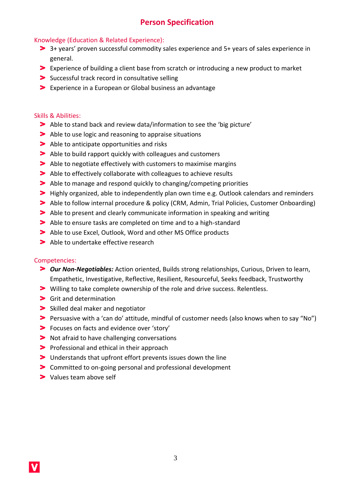## **Person Specification**

#### Knowledge (Education & Related Experience):

- 3+ years' proven successful commodity sales experience and 5+ years of sales experience in general.
- Experience of building a client base from scratch or introducing a new product to market
- Successful track record in consultative selling
- Experience in a European or Global business an advantage

#### Skills & Abilities:

- Able to stand back and review data/information to see the 'big picture'
- Able to use logic and reasoning to appraise situations
- Able to anticipate opportunities and risks
- Able to build rapport quickly with colleagues and customers
- Able to negotiate effectively with customers to maximise margins
- Able to effectively collaborate with colleagues to achieve results
- Able to manage and respond quickly to changing/competing priorities
- Highly organized, able to independently plan own time e.g. Outlook calendars and reminders
- Able to follow internal procedure & policy (CRM, Admin, Trial Policies, Customer Onboarding)
- Able to present and clearly communicate information in speaking and writing
- Able to ensure tasks are completed on time and to a high-standard
- Able to use Excel, Outlook, Word and other MS Office products
- > Able to undertake effective research

#### Competencies:

- *Our Non-Negotiables:* Action oriented, Builds strong relationships, Curious, Driven to learn, Empathetic, Investigative, Reflective, Resilient, Resourceful, Seeks feedback, Trustworthy
- Willing to take complete ownership of the role and drive success. Relentless.
- Grit and determination
- > Skilled deal maker and negotiator
- Persuasive with a 'can do' attitude, mindful of customer needs (also knows when to say "No")
- Focuses on facts and evidence over 'story'
- **Not afraid to have challenging conversations**
- **Professional and ethical in their approach**
- Understands that upfront effort prevents issues down the line
- Committed to on-going personal and professional development
- > Values team above self

V.